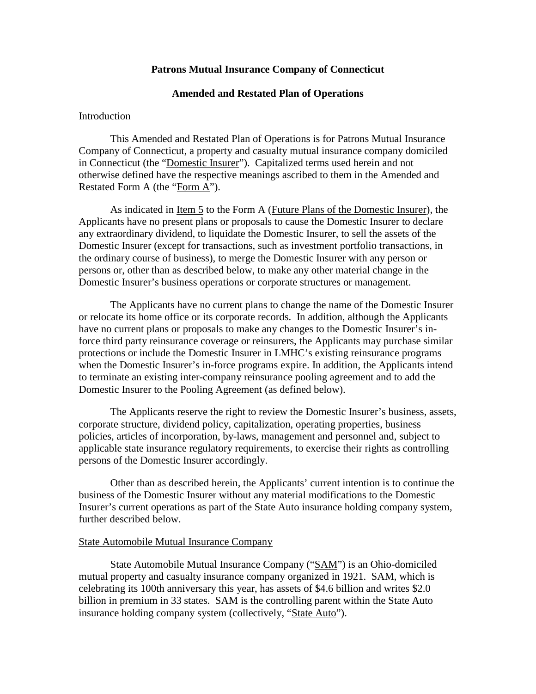# **Patrons Mutual Insurance Company of Connecticut**

# **Amended and Restated Plan of Operations**

#### Introduction

This Amended and Restated Plan of Operations is for Patrons Mutual Insurance Company of Connecticut, a property and casualty mutual insurance company domiciled in Connecticut (the "Domestic Insurer"). Capitalized terms used herein and not otherwise defined have the respective meanings ascribed to them in the Amended and Restated Form A (the "Form A").

As indicated in Item 5 to the Form A (Future Plans of the Domestic Insurer), the Applicants have no present plans or proposals to cause the Domestic Insurer to declare any extraordinary dividend, to liquidate the Domestic Insurer, to sell the assets of the Domestic Insurer (except for transactions, such as investment portfolio transactions, in the ordinary course of business), to merge the Domestic Insurer with any person or persons or, other than as described below, to make any other material change in the Domestic Insurer's business operations or corporate structures or management.

The Applicants have no current plans to change the name of the Domestic Insurer or relocate its home office or its corporate records. In addition, although the Applicants have no current plans or proposals to make any changes to the Domestic Insurer's inforce third party reinsurance coverage or reinsurers, the Applicants may purchase similar protections or include the Domestic Insurer in LMHC's existing reinsurance programs when the Domestic Insurer's in-force programs expire. In addition, the Applicants intend to terminate an existing inter-company reinsurance pooling agreement and to add the Domestic Insurer to the Pooling Agreement (as defined below).

The Applicants reserve the right to review the Domestic Insurer's business, assets, corporate structure, dividend policy, capitalization, operating properties, business policies, articles of incorporation, by-laws, management and personnel and, subject to applicable state insurance regulatory requirements, to exercise their rights as controlling persons of the Domestic Insurer accordingly.

Other than as described herein, the Applicants' current intention is to continue the business of the Domestic Insurer without any material modifications to the Domestic Insurer's current operations as part of the State Auto insurance holding company system, further described below.

### State Automobile Mutual Insurance Company

State Automobile Mutual Insurance Company ("SAM") is an Ohio-domiciled mutual property and casualty insurance company organized in 1921. SAM, which is celebrating its 100th anniversary this year, has assets of \$4.6 billion and writes \$2.0 billion in premium in 33 states. SAM is the controlling parent within the State Auto insurance holding company system (collectively, "State Auto").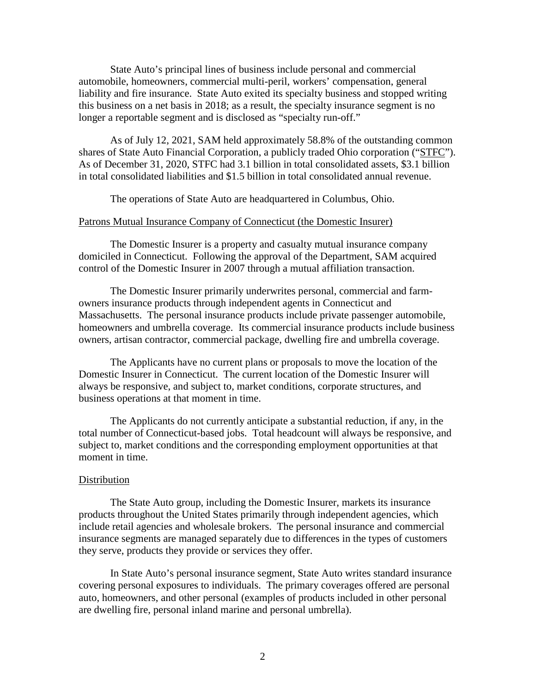State Auto's principal lines of business include personal and commercial automobile, homeowners, commercial multi-peril, workers' compensation, general liability and fire insurance. State Auto exited its specialty business and stopped writing this business on a net basis in 2018; as a result, the specialty insurance segment is no longer a reportable segment and is disclosed as "specialty run-off."

As of July 12, 2021, SAM held approximately 58.8% of the outstanding common shares of State Auto Financial Corporation, a publicly traded Ohio corporation ("STFC"). As of December 31, 2020, STFC had 3.1 billion in total consolidated assets, \$3.1 billion in total consolidated liabilities and \$1.5 billion in total consolidated annual revenue.

The operations of State Auto are headquartered in Columbus, Ohio.

#### Patrons Mutual Insurance Company of Connecticut (the Domestic Insurer)

The Domestic Insurer is a property and casualty mutual insurance company domiciled in Connecticut. Following the approval of the Department, SAM acquired control of the Domestic Insurer in 2007 through a mutual affiliation transaction.

The Domestic Insurer primarily underwrites personal, commercial and farmowners insurance products through independent agents in Connecticut and Massachusetts. The personal insurance products include private passenger automobile, homeowners and umbrella coverage. Its commercial insurance products include business owners, artisan contractor, commercial package, dwelling fire and umbrella coverage.

The Applicants have no current plans or proposals to move the location of the Domestic Insurer in Connecticut. The current location of the Domestic Insurer will always be responsive, and subject to, market conditions, corporate structures, and business operations at that moment in time.

The Applicants do not currently anticipate a substantial reduction, if any, in the total number of Connecticut-based jobs. Total headcount will always be responsive, and subject to, market conditions and the corresponding employment opportunities at that moment in time.

## Distribution

The State Auto group, including the Domestic Insurer, markets its insurance products throughout the United States primarily through independent agencies, which include retail agencies and wholesale brokers. The personal insurance and commercial insurance segments are managed separately due to differences in the types of customers they serve, products they provide or services they offer.

In State Auto's personal insurance segment, State Auto writes standard insurance covering personal exposures to individuals. The primary coverages offered are personal auto, homeowners, and other personal (examples of products included in other personal are dwelling fire, personal inland marine and personal umbrella).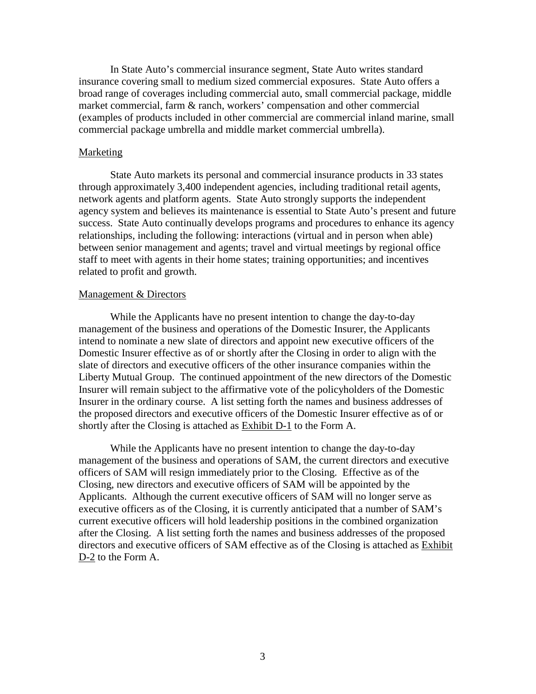In State Auto's commercial insurance segment, State Auto writes standard insurance covering small to medium sized commercial exposures. State Auto offers a broad range of coverages including commercial auto, small commercial package, middle market commercial, farm & ranch, workers' compensation and other commercial (examples of products included in other commercial are commercial inland marine, small commercial package umbrella and middle market commercial umbrella).

#### **Marketing**

State Auto markets its personal and commercial insurance products in 33 states through approximately 3,400 independent agencies, including traditional retail agents, network agents and platform agents. State Auto strongly supports the independent agency system and believes its maintenance is essential to State Auto's present and future success. State Auto continually develops programs and procedures to enhance its agency relationships, including the following: interactions (virtual and in person when able) between senior management and agents; travel and virtual meetings by regional office staff to meet with agents in their home states; training opportunities; and incentives related to profit and growth.

### Management & Directors

While the Applicants have no present intention to change the day-to-day management of the business and operations of the Domestic Insurer, the Applicants intend to nominate a new slate of directors and appoint new executive officers of the Domestic Insurer effective as of or shortly after the Closing in order to align with the slate of directors and executive officers of the other insurance companies within the Liberty Mutual Group. The continued appointment of the new directors of the Domestic Insurer will remain subject to the affirmative vote of the policyholders of the Domestic Insurer in the ordinary course. A list setting forth the names and business addresses of the proposed directors and executive officers of the Domestic Insurer effective as of or shortly after the Closing is attached as Exhibit D-1 to the Form A.

While the Applicants have no present intention to change the day-to-day management of the business and operations of SAM, the current directors and executive officers of SAM will resign immediately prior to the Closing. Effective as of the Closing, new directors and executive officers of SAM will be appointed by the Applicants. Although the current executive officers of SAM will no longer serve as executive officers as of the Closing, it is currently anticipated that a number of SAM's current executive officers will hold leadership positions in the combined organization after the Closing. A list setting forth the names and business addresses of the proposed directors and executive officers of SAM effective as of the Closing is attached as Exhibit D-2 to the Form A.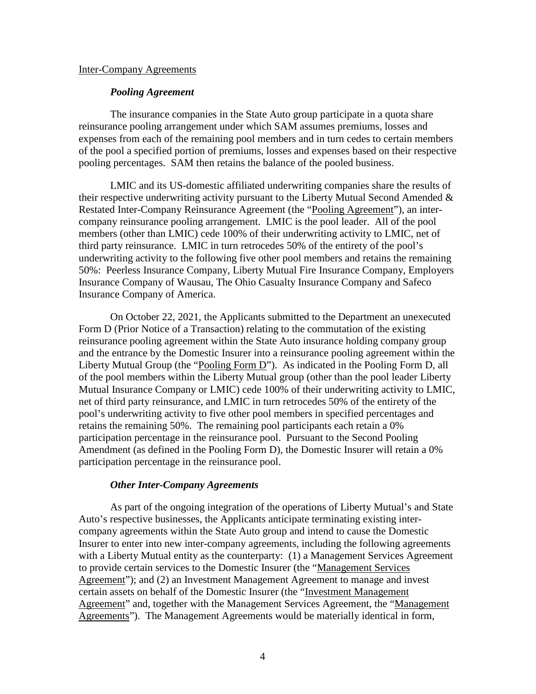#### Inter-Company Agreements

# *Pooling Agreement*

The insurance companies in the State Auto group participate in a quota share reinsurance pooling arrangement under which SAM assumes premiums, losses and expenses from each of the remaining pool members and in turn cedes to certain members of the pool a specified portion of premiums, losses and expenses based on their respective pooling percentages. SAM then retains the balance of the pooled business.

LMIC and its US-domestic affiliated underwriting companies share the results of their respective underwriting activity pursuant to the Liberty Mutual Second Amended & Restated Inter-Company Reinsurance Agreement (the "Pooling Agreement"), an intercompany reinsurance pooling arrangement. LMIC is the pool leader. All of the pool members (other than LMIC) cede 100% of their underwriting activity to LMIC, net of third party reinsurance. LMIC in turn retrocedes 50% of the entirety of the pool's underwriting activity to the following five other pool members and retains the remaining 50%: Peerless Insurance Company, Liberty Mutual Fire Insurance Company, Employers Insurance Company of Wausau, The Ohio Casualty Insurance Company and Safeco Insurance Company of America.

On October 22, 2021, the Applicants submitted to the Department an unexecuted Form D (Prior Notice of a Transaction) relating to the commutation of the existing reinsurance pooling agreement within the State Auto insurance holding company group and the entrance by the Domestic Insurer into a reinsurance pooling agreement within the Liberty Mutual Group (the "Pooling Form  $D$ "). As indicated in the Pooling Form D, all of the pool members within the Liberty Mutual group (other than the pool leader Liberty Mutual Insurance Company or LMIC) cede 100% of their underwriting activity to LMIC, net of third party reinsurance, and LMIC in turn retrocedes 50% of the entirety of the pool's underwriting activity to five other pool members in specified percentages and retains the remaining 50%. The remaining pool participants each retain a 0% participation percentage in the reinsurance pool. Pursuant to the Second Pooling Amendment (as defined in the Pooling Form D), the Domestic Insurer will retain a 0% participation percentage in the reinsurance pool.

# *Other Inter-Company Agreements*

As part of the ongoing integration of the operations of Liberty Mutual's and State Auto's respective businesses, the Applicants anticipate terminating existing intercompany agreements within the State Auto group and intend to cause the Domestic Insurer to enter into new inter-company agreements, including the following agreements with a Liberty Mutual entity as the counterparty: (1) a Management Services Agreement to provide certain services to the Domestic Insurer (the "Management Services Agreement"); and (2) an Investment Management Agreement to manage and invest certain assets on behalf of the Domestic Insurer (the "Investment Management Agreement" and, together with the Management Services Agreement, the "Management Agreements"). The Management Agreements would be materially identical in form,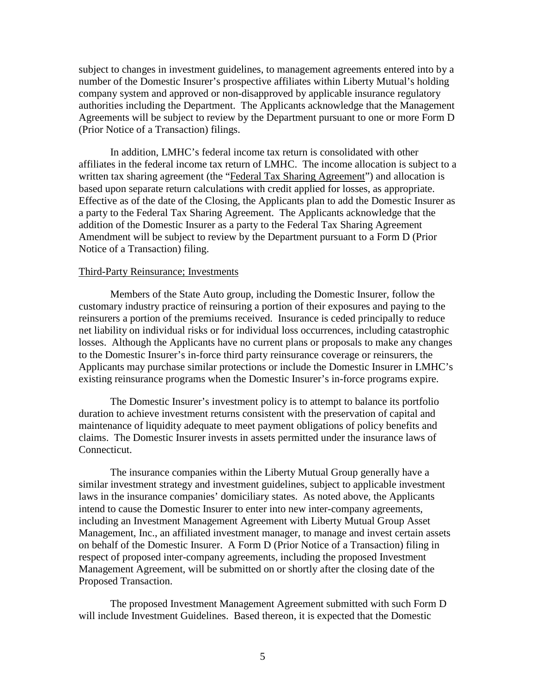subject to changes in investment guidelines, to management agreements entered into by a number of the Domestic Insurer's prospective affiliates within Liberty Mutual's holding company system and approved or non-disapproved by applicable insurance regulatory authorities including the Department. The Applicants acknowledge that the Management Agreements will be subject to review by the Department pursuant to one or more Form D (Prior Notice of a Transaction) filings.

In addition, LMHC's federal income tax return is consolidated with other affiliates in the federal income tax return of LMHC. The income allocation is subject to a written tax sharing agreement (the "Federal Tax Sharing Agreement") and allocation is based upon separate return calculations with credit applied for losses, as appropriate. Effective as of the date of the Closing, the Applicants plan to add the Domestic Insurer as a party to the Federal Tax Sharing Agreement. The Applicants acknowledge that the addition of the Domestic Insurer as a party to the Federal Tax Sharing Agreement Amendment will be subject to review by the Department pursuant to a Form D (Prior Notice of a Transaction) filing.

# Third-Party Reinsurance; Investments

Members of the State Auto group, including the Domestic Insurer, follow the customary industry practice of reinsuring a portion of their exposures and paying to the reinsurers a portion of the premiums received. Insurance is ceded principally to reduce net liability on individual risks or for individual loss occurrences, including catastrophic losses. Although the Applicants have no current plans or proposals to make any changes to the Domestic Insurer's in-force third party reinsurance coverage or reinsurers, the Applicants may purchase similar protections or include the Domestic Insurer in LMHC's existing reinsurance programs when the Domestic Insurer's in-force programs expire.

The Domestic Insurer's investment policy is to attempt to balance its portfolio duration to achieve investment returns consistent with the preservation of capital and maintenance of liquidity adequate to meet payment obligations of policy benefits and claims. The Domestic Insurer invests in assets permitted under the insurance laws of Connecticut.

The insurance companies within the Liberty Mutual Group generally have a similar investment strategy and investment guidelines, subject to applicable investment laws in the insurance companies' domiciliary states. As noted above, the Applicants intend to cause the Domestic Insurer to enter into new inter-company agreements, including an Investment Management Agreement with Liberty Mutual Group Asset Management, Inc., an affiliated investment manager, to manage and invest certain assets on behalf of the Domestic Insurer. A Form D (Prior Notice of a Transaction) filing in respect of proposed inter-company agreements, including the proposed Investment Management Agreement, will be submitted on or shortly after the closing date of the Proposed Transaction.

The proposed Investment Management Agreement submitted with such Form D will include Investment Guidelines. Based thereon, it is expected that the Domestic